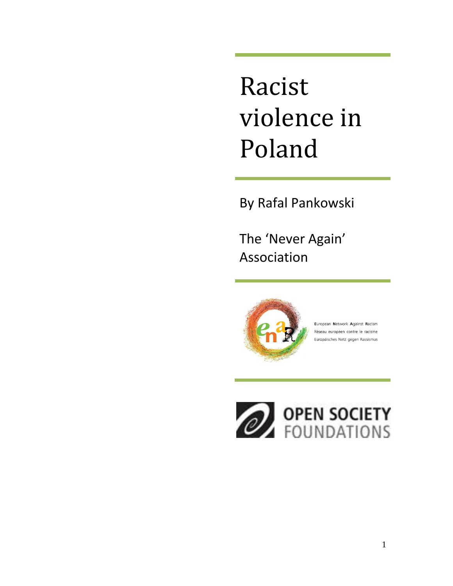# Racist violence in Poland

By Rafal Pankowski

The 'Never Again' Association



European Network Against Racism Réseau européen contre le racisme Europäisches Netz gegen Rassismus

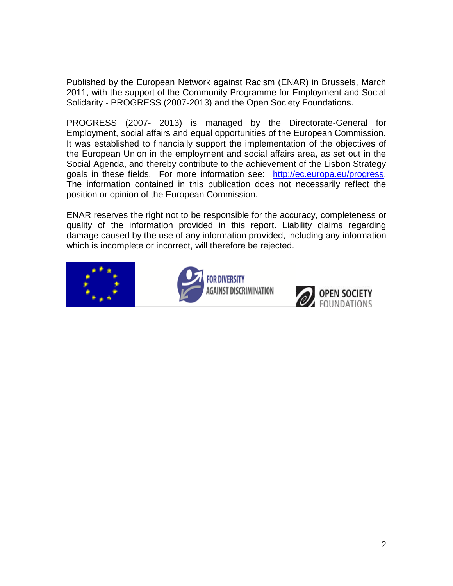Published by the European Network against Racism (ENAR) in Brussels, March 2011, with the support of the Community Programme for Employment and Social Solidarity - PROGRESS (2007-2013) and the Open Society Foundations.

PROGRESS (2007- 2013) is managed by the Directorate-General for Employment, social affairs and equal opportunities of the European Commission. It was established to financially support the implementation of the objectives of the European Union in the employment and social affairs area, as set out in the Social Agenda, and thereby contribute to the achievement of the Lisbon Strategy goals in these fields. For more information see: [http://ec.europa.eu/progress.](http://ec.europa.eu/progress) The information contained in this publication does not necessarily reflect the position or opinion of the European Commission.

ENAR reserves the right not to be responsible for the accuracy, completeness or quality of the information provided in this report. Liability claims regarding damage caused by the use of any information provided, including any information which is incomplete or incorrect, will therefore be rejected.





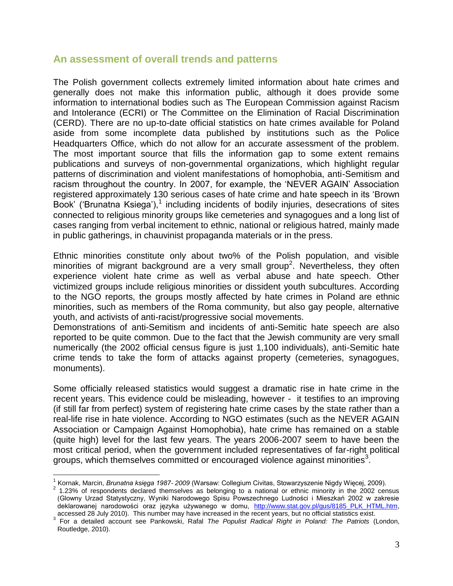#### **An assessment of overall trends and patterns**

The Polish government collects extremely limited information about hate crimes and generally does not make this information public, although it does provide some information to international bodies such as The European Commission against Racism and Intolerance (ECRI) or The Committee on the Elimination of Racial Discrimination (CERD). There are no up-to-date official statistics on hate crimes available for Poland aside from some incomplete data published by institutions such as the Police Headquarters Office, which do not allow for an accurate assessment of the problem. The most important source that fills the information gap to some extent remains publications and surveys of non-governmental organizations, which highlight regular patterns of discrimination and violent manifestations of homophobia, anti-Semitism and racism throughout the country. In 2007, for example, the 'NEVER AGAIN' Association registered approximately 130 serious cases of hate crime and hate speech in its 'Brown Book' ('Brunatna Ksiega'),<sup>1</sup> including incidents of bodily injuries, desecrations of sites connected to religious minority groups like cemeteries and synagogues and a long list of cases ranging from verbal incitement to ethnic, national or religious hatred, mainly made in public gatherings, in chauvinist propaganda materials or in the press.

Ethnic minorities constitute only about two% of the Polish population, and visible minorities of migrant background are a very small group<sup>2</sup>. Nevertheless, they often experience violent hate crime as well as verbal abuse and hate speech. Other victimized groups include religious minorities or dissident youth subcultures. According to the NGO reports, the groups mostly affected by hate crimes in Poland are ethnic minorities, such as members of the Roma community, but also gay people, alternative youth, and activists of anti-racist/progressive social movements.

Demonstrations of anti-Semitism and incidents of anti-Semitic hate speech are also reported to be quite common. Due to the fact that the Jewish community are very small numerically (the 2002 official census figure is just 1,100 individuals), anti-Semitic hate crime tends to take the form of attacks against property (cemeteries, synagogues, monuments).

Some officially released statistics would suggest a dramatic rise in hate crime in the recent years. This evidence could be misleading, however - it testifies to an improving (if still far from perfect) system of registering hate crime cases by the state rather than a real-life rise in hate violence. According to NGO estimates (such as the NEVER AGAIN Association or Campaign Against Homophobia), hate crime has remained on a stable (quite high) level for the last few years. The years 2006-2007 seem to have been the most critical period, when the government included representatives of far-right political groups, which themselves committed or encouraged violence against minorities<sup>3</sup>.

 $\overline{a}$ 

<sup>1</sup> Kornak, Marcin, *Brunatna księga 1987- 2009* (Warsaw: Collegium Civitas, Stowarzyszenie Nigdy Więcej, 2009).

 $2$  1.23% of respondents declared themselves as belonging to a national or ethnic minority in the 2002 census (Glowny Urzad Statystyczny, Wyniki Narodowego Spisu Powszechnego Ludności i Mieszkań 2002 w zakresie deklarowanej narodowości oraz języka używanego w domu, [http://www.stat.gov.pl/gus/8185\\_PLK\\_HTML.htm,](http://www.stat.gov.pl/gus/8185_PLK_HTML.htm) accessed 28 July 2010). This number may have increased in the recent years, but no official statistics exist.

<sup>3</sup> For a detailed account see Pankowski, Rafal *The Populist Radical Right in Poland: The Patriots* (London, Routledge, 2010).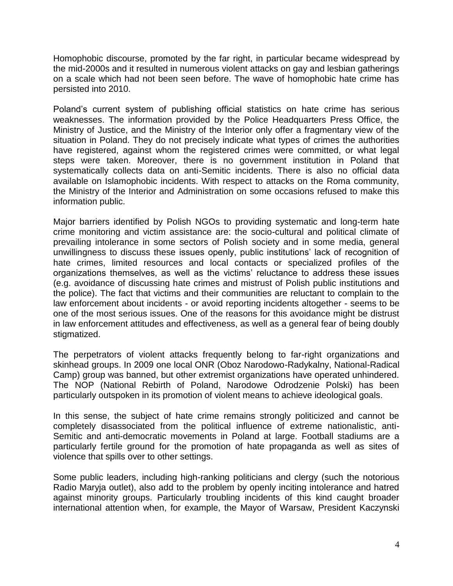Homophobic discourse, promoted by the far right, in particular became widespread by the mid-2000s and it resulted in numerous violent attacks on gay and lesbian gatherings on a scale which had not been seen before. The wave of homophobic hate crime has persisted into 2010.

Poland's current system of publishing official statistics on hate crime has serious weaknesses. The information provided by the Police Headquarters Press Office, the Ministry of Justice, and the Ministry of the Interior only offer a fragmentary view of the situation in Poland. They do not precisely indicate what types of crimes the authorities have registered, against whom the registered crimes were committed, or what legal steps were taken. Moreover, there is no government institution in Poland that systematically collects data on anti-Semitic incidents. There is also no official data available on Islamophobic incidents. With respect to attacks on the Roma community, the Ministry of the Interior and Administration on some occasions refused to make this information public.

Major barriers identified by Polish NGOs to providing systematic and long-term hate crime monitoring and victim assistance are: the socio-cultural and political climate of prevailing intolerance in some sectors of Polish society and in some media, general unwillingness to discuss these issues openly, public institutions' lack of recognition of hate crimes, limited resources and local contacts or specialized profiles of the organizations themselves, as well as the victims' reluctance to address these issues (e.g. avoidance of discussing hate crimes and mistrust of Polish public institutions and the police). The fact that victims and their communities are reluctant to complain to the law enforcement about incidents - or avoid reporting incidents altogether - seems to be one of the most serious issues. One of the reasons for this avoidance might be distrust in law enforcement attitudes and effectiveness, as well as a general fear of being doubly stigmatized.

The perpetrators of violent attacks frequently belong to far-right organizations and skinhead groups. In 2009 one local ONR (Oboz Narodowo-Radykalny, National-Radical Camp) group was banned, but other extremist organizations have operated unhindered. The NOP (National Rebirth of Poland, Narodowe Odrodzenie Polski) has been particularly outspoken in its promotion of violent means to achieve ideological goals.

In this sense, the subject of hate crime remains strongly politicized and cannot be completely disassociated from the political influence of extreme nationalistic, anti-Semitic and anti-democratic movements in Poland at large. Football stadiums are a particularly fertile ground for the promotion of hate propaganda as well as sites of violence that spills over to other settings.

Some public leaders, including high-ranking politicians and clergy (such the notorious Radio Maryja outlet), also add to the problem by openly inciting intolerance and hatred against minority groups. Particularly troubling incidents of this kind caught broader international attention when, for example, the Mayor of Warsaw, President Kaczynski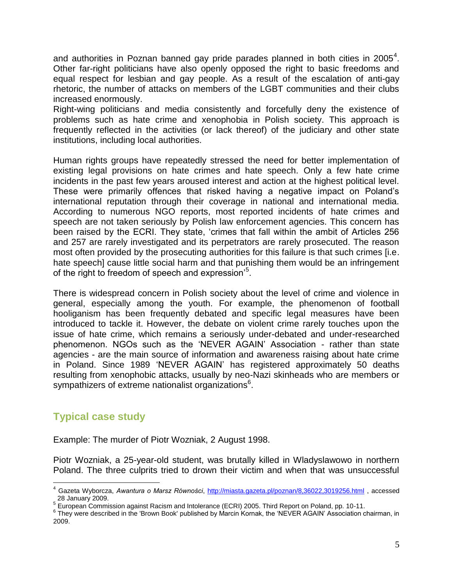and authorities in Poznan banned gay pride parades planned in both cities in 2005<sup>4</sup>. Other far-right politicians have also openly opposed the right to basic freedoms and equal respect for lesbian and gay people. As a result of the escalation of anti-gay rhetoric, the number of attacks on members of the LGBT communities and their clubs increased enormously.

Right-wing politicians and media consistently and forcefully deny the existence of problems such as hate crime and xenophobia in Polish society. This approach is frequently reflected in the activities (or lack thereof) of the judiciary and other state institutions, including local authorities.

Human rights groups have repeatedly stressed the need for better implementation of existing legal provisions on hate crimes and hate speech. Only a few hate crime incidents in the past few years aroused interest and action at the highest political level. These were primarily offences that risked having a negative impact on Poland's international reputation through their coverage in national and international media. According to numerous NGO reports, most reported incidents of hate crimes and speech are not taken seriously by Polish law enforcement agencies. This concern has been raised by the ECRI. They state, 'crimes that fall within the ambit of Articles 256 and 257 are rarely investigated and its perpetrators are rarely prosecuted. The reason most often provided by the prosecuting authorities for this failure is that such crimes [i.e. hate speech] cause little social harm and that punishing them would be an infringement of the right to freedom of speech and expression'<sup>5</sup>.

There is widespread concern in Polish society about the level of crime and violence in general, especially among the youth. For example, the phenomenon of football hooliganism has been frequently debated and specific legal measures have been introduced to tackle it. However, the debate on violent crime rarely touches upon the issue of hate crime, which remains a seriously under-debated and under-researched phenomenon. NGOs such as the 'NEVER AGAIN' Association - rather than state agencies - are the main source of information and awareness raising about hate crime in Poland. Since 1989 'NEVER AGAIN' has registered approximately 50 deaths resulting from xenophobic attacks, usually by neo-Nazi skinheads who are members or sympathizers of extreme nationalist organizations<sup>6</sup>.

## **Typical case study**

 $\overline{a}$ 

Example: The murder of Piotr Wozniak, 2 August 1998.

Piotr Wozniak, a 25-year-old student, was brutally killed in Wladyslawowo in northern Poland. The three culprits tried to drown their victim and when that was unsuccessful

<sup>4</sup> Gazeta Wyborcza, *Awantura o Marsz Równości*,<http://miasta.gazeta.pl/poznan/8,36022,3019256.html> , accessed 28 January 2009.

<sup>&</sup>lt;sup>5</sup> European Commission against Racism and Intolerance (ECRI) 2005. Third Report on Poland, pp. 10-11.

<sup>&</sup>lt;sup>6</sup> They were described in the 'Brown Book' published by Marcin Kornak, the 'NEVER AGAIN' Association chairman, in 2009.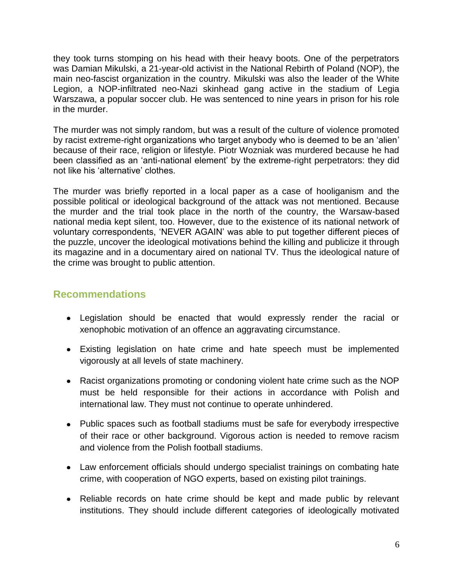they took turns stomping on his head with their heavy boots. One of the perpetrators was Damian Mikulski, a 21-year-old activist in the National Rebirth of Poland (NOP), the main neo-fascist organization in the country. Mikulski was also the leader of the White Legion, a NOP-infiltrated neo-Nazi skinhead gang active in the stadium of Legia Warszawa, a popular soccer club. He was sentenced to nine years in prison for his role in the murder.

The murder was not simply random, but was a result of the culture of violence promoted by racist extreme-right organizations who target anybody who is deemed to be an 'alien' because of their race, religion or lifestyle. Piotr Wozniak was murdered because he had been classified as an 'anti-national element' by the extreme-right perpetrators: they did not like his 'alternative' clothes.

The murder was briefly reported in a local paper as a case of hooliganism and the possible political or ideological background of the attack was not mentioned. Because the murder and the trial took place in the north of the country, the Warsaw-based national media kept silent, too. However, due to the existence of its national network of voluntary correspondents, 'NEVER AGAIN' was able to put together different pieces of the puzzle, uncover the ideological motivations behind the killing and publicize it through its magazine and in a documentary aired on national TV. Thus the ideological nature of the crime was brought to public attention.

### **Recommendations**

- Legislation should be enacted that would expressly render the racial or xenophobic motivation of an offence an aggravating circumstance.
- Existing legislation on hate crime and hate speech must be implemented vigorously at all levels of state machinery.
- Racist organizations promoting or condoning violent hate crime such as the NOP must be held responsible for their actions in accordance with Polish and international law. They must not continue to operate unhindered.
- Public spaces such as football stadiums must be safe for everybody irrespective of their race or other background. Vigorous action is needed to remove racism and violence from the Polish football stadiums.
- Law enforcement officials should undergo specialist trainings on combating hate crime, with cooperation of NGO experts, based on existing pilot trainings.
- Reliable records on hate crime should be kept and made public by relevant institutions. They should include different categories of ideologically motivated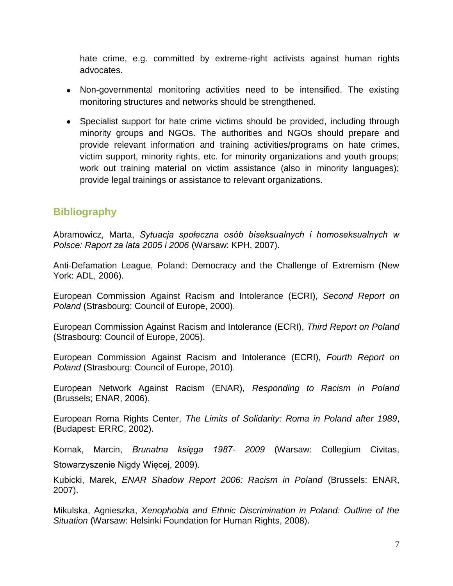hate crime, e.g. committed by extreme-right activists against human rights advocates.

- Non-governmental monitoring activities need to be intensified. The existing monitoring structures and networks should be strengthened.
- Specialist support for hate crime victims should be provided, including through minority groups and NGOs. The authorities and NGOs should prepare and provide relevant information and training activities/programs on hate crimes, victim support, minority rights, etc. for minority organizations and youth groups; work out training material on victim assistance (also in minority languages); provide legal trainings or assistance to relevant organizations.

## **Bibliography**

Abramowicz, Marta, *Sytuacja społeczna osób biseksualnych i homoseksualnych w Polsce: Raport za lata 2005 i 2006* (Warsaw: KPH, 2007).

Anti-Defamation League, Poland: Democracy and the Challenge of Extremism (New York: ADL, 2006).

European Commission Against Racism and Intolerance (ECRI), *Second Report on Poland* (Strasbourg: Council of Europe, 2000).

European Commission Against Racism and Intolerance (ECRI), *Third Report on Poland* (Strasbourg: Council of Europe, 2005).

European Commission Against Racism and Intolerance (ECRI), *Fourth Report on Poland* (Strasbourg: Council of Europe, 2010).

European Network Against Racism (ENAR), *Responding to Racism in Poland* (Brussels; ENAR, 2006).

European Roma Rights Center, *The Limits of Solidarity: Roma in Poland after 1989*, (Budapest: ERRC, 2002).

Kornak, Marcin, *Brunatna księga 1987- 2009* (Warsaw: Collegium Civitas, Stowarzyszenie Nigdy Więcej, 2009).

Kubicki, Marek, *ENAR Shadow Report 2006: Racism in Poland* (Brussels: ENAR, 2007).

Mikulska, Agnieszka, *Xenophobia and Ethnic Discrimination in Poland: Outline of the Situation* (Warsaw: Helsinki Foundation for Human Rights, 2008).